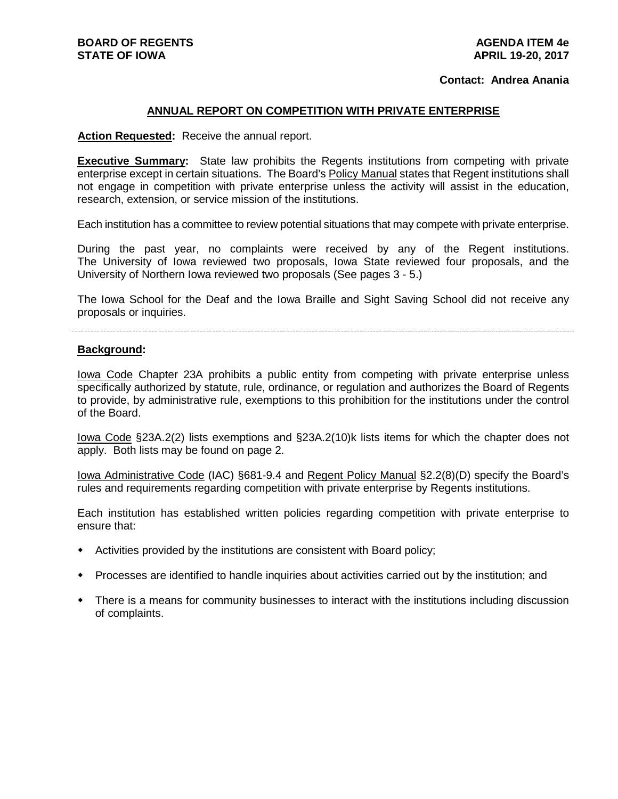### **Contact: Andrea Anania**

### **ANNUAL REPORT ON COMPETITION WITH PRIVATE ENTERPRISE**

**Action Requested:** Receive the annual report.

**Executive Summary:** State law prohibits the Regents institutions from competing with private enterprise except in certain situations. The Board's Policy Manual states that Regent institutions shall not engage in competition with private enterprise unless the activity will assist in the education, research, extension, or service mission of the institutions.

Each institution has a committee to review potential situations that may compete with private enterprise.

During the past year, no complaints were received by any of the Regent institutions. The University of Iowa reviewed two proposals, Iowa State reviewed four proposals, and the University of Northern Iowa reviewed two proposals (See pages 3 - 5.)

The Iowa School for the Deaf and the Iowa Braille and Sight Saving School did not receive any proposals or inquiries.

### **Background:**

Iowa Code Chapter 23A prohibits a public entity from competing with private enterprise unless specifically authorized by statute, rule, ordinance, or regulation and authorizes the Board of Regents to provide, by administrative rule, exemptions to this prohibition for the institutions under the control of the Board.

Iowa Code §23A.2(2) lists exemptions and §23A.2(10)k lists items for which the chapter does not apply. Both lists may be found on page 2.

Iowa Administrative Code (IAC) §681-9.4 and Regent Policy Manual §2.2(8)(D) specify the Board's rules and requirements regarding competition with private enterprise by Regents institutions.

Each institution has established written policies regarding competition with private enterprise to ensure that:

- Activities provided by the institutions are consistent with Board policy;
- Processes are identified to handle inquiries about activities carried out by the institution; and
- There is a means for community businesses to interact with the institutions including discussion of complaints.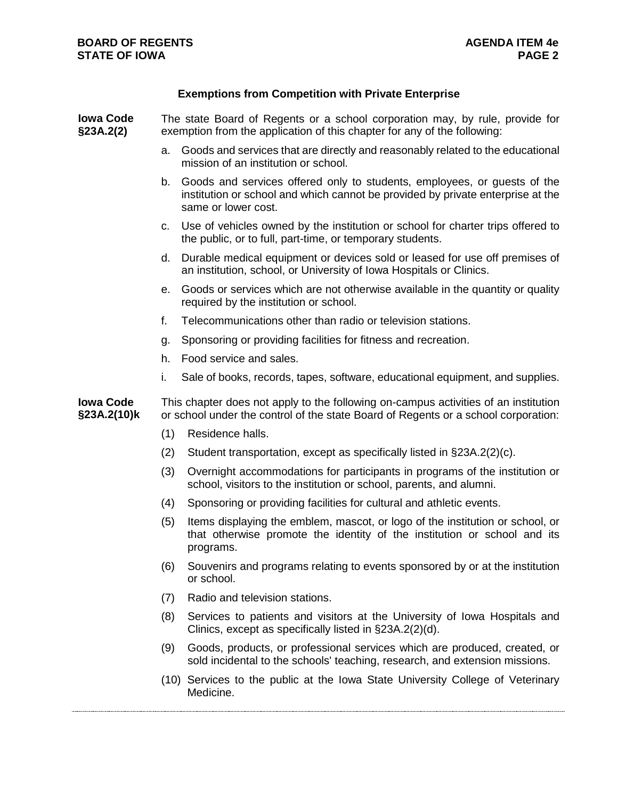# **Exemptions from Competition with Private Enterprise**

| <b>Iowa Code</b><br>§23A.2(2)   | The state Board of Regents or a school corporation may, by rule, provide for<br>exemption from the application of this chapter for any of the following:                  |                                                                                                                                                                                    |
|---------------------------------|---------------------------------------------------------------------------------------------------------------------------------------------------------------------------|------------------------------------------------------------------------------------------------------------------------------------------------------------------------------------|
|                                 | a.                                                                                                                                                                        | Goods and services that are directly and reasonably related to the educational<br>mission of an institution or school.                                                             |
|                                 | b.                                                                                                                                                                        | Goods and services offered only to students, employees, or guests of the<br>institution or school and which cannot be provided by private enterprise at the<br>same or lower cost. |
|                                 | C.                                                                                                                                                                        | Use of vehicles owned by the institution or school for charter trips offered to<br>the public, or to full, part-time, or temporary students.                                       |
|                                 | d.                                                                                                                                                                        | Durable medical equipment or devices sold or leased for use off premises of<br>an institution, school, or University of Iowa Hospitals or Clinics.                                 |
|                                 | е.                                                                                                                                                                        | Goods or services which are not otherwise available in the quantity or quality<br>required by the institution or school.                                                           |
|                                 | f.                                                                                                                                                                        | Telecommunications other than radio or television stations.                                                                                                                        |
|                                 | g.                                                                                                                                                                        | Sponsoring or providing facilities for fitness and recreation.                                                                                                                     |
|                                 | h.                                                                                                                                                                        | Food service and sales.                                                                                                                                                            |
|                                 | i.                                                                                                                                                                        | Sale of books, records, tapes, software, educational equipment, and supplies.                                                                                                      |
| <b>Iowa Code</b><br>§23A.2(10)k | This chapter does not apply to the following on-campus activities of an institution<br>or school under the control of the state Board of Regents or a school corporation: |                                                                                                                                                                                    |
|                                 | (1)                                                                                                                                                                       | Residence halls.                                                                                                                                                                   |
|                                 | (2)                                                                                                                                                                       | Student transportation, except as specifically listed in §23A.2(2)(c).                                                                                                             |
|                                 | (3)                                                                                                                                                                       | Overnight accommodations for participants in programs of the institution or<br>school, visitors to the institution or school, parents, and alumni.                                 |
|                                 | (4)                                                                                                                                                                       | Sponsoring or providing facilities for cultural and athletic events.                                                                                                               |
|                                 | (5)                                                                                                                                                                       | Items displaying the emblem, mascot, or logo of the institution or school, or<br>that otherwise promote the identity of the institution or school and its<br>programs.             |
|                                 | (6)                                                                                                                                                                       | Souvenirs and programs relating to events sponsored by or at the institution<br>or school.                                                                                         |
|                                 | (7)                                                                                                                                                                       | Radio and television stations.                                                                                                                                                     |
|                                 | (8)                                                                                                                                                                       | Services to patients and visitors at the University of Iowa Hospitals and<br>Clinics, except as specifically listed in §23A.2(2)(d).                                               |
|                                 | (9)                                                                                                                                                                       | Goods, products, or professional services which are produced, created, or<br>sold incidental to the schools' teaching, research, and extension missions.                           |
|                                 |                                                                                                                                                                           | (10) Services to the public at the Iowa State University College of Veterinary<br>Medicine.                                                                                        |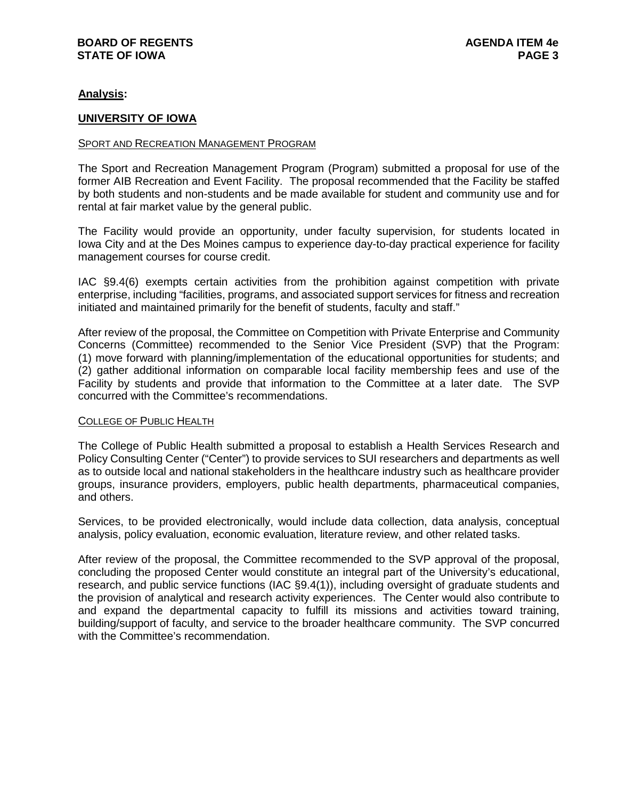# **Analysis:**

### **UNIVERSITY OF IOWA**

### SPORT AND RECREATION MANAGEMENT PROGRAM

The Sport and Recreation Management Program (Program) submitted a proposal for use of the former AIB Recreation and Event Facility. The proposal recommended that the Facility be staffed by both students and non-students and be made available for student and community use and for rental at fair market value by the general public.

The Facility would provide an opportunity, under faculty supervision, for students located in Iowa City and at the Des Moines campus to experience day-to-day practical experience for facility management courses for course credit.

IAC §9.4(6) exempts certain activities from the prohibition against competition with private enterprise, including "facilities, programs, and associated support services for fitness and recreation initiated and maintained primarily for the benefit of students, faculty and staff."

After review of the proposal, the Committee on Competition with Private Enterprise and Community Concerns (Committee) recommended to the Senior Vice President (SVP) that the Program: (1) move forward with planning/implementation of the educational opportunities for students; and (2) gather additional information on comparable local facility membership fees and use of the Facility by students and provide that information to the Committee at a later date. The SVP concurred with the Committee's recommendations.

### COLLEGE OF PUBLIC HEALTH

The College of Public Health submitted a proposal to establish a Health Services Research and Policy Consulting Center ("Center") to provide services to SUI researchers and departments as well as to outside local and national stakeholders in the healthcare industry such as healthcare provider groups, insurance providers, employers, public health departments, pharmaceutical companies, and others.

Services, to be provided electronically, would include data collection, data analysis, conceptual analysis, policy evaluation, economic evaluation, literature review, and other related tasks.

After review of the proposal, the Committee recommended to the SVP approval of the proposal, concluding the proposed Center would constitute an integral part of the University's educational, research, and public service functions (IAC §9.4(1)), including oversight of graduate students and the provision of analytical and research activity experiences. The Center would also contribute to and expand the departmental capacity to fulfill its missions and activities toward training, building/support of faculty, and service to the broader healthcare community. The SVP concurred with the Committee's recommendation.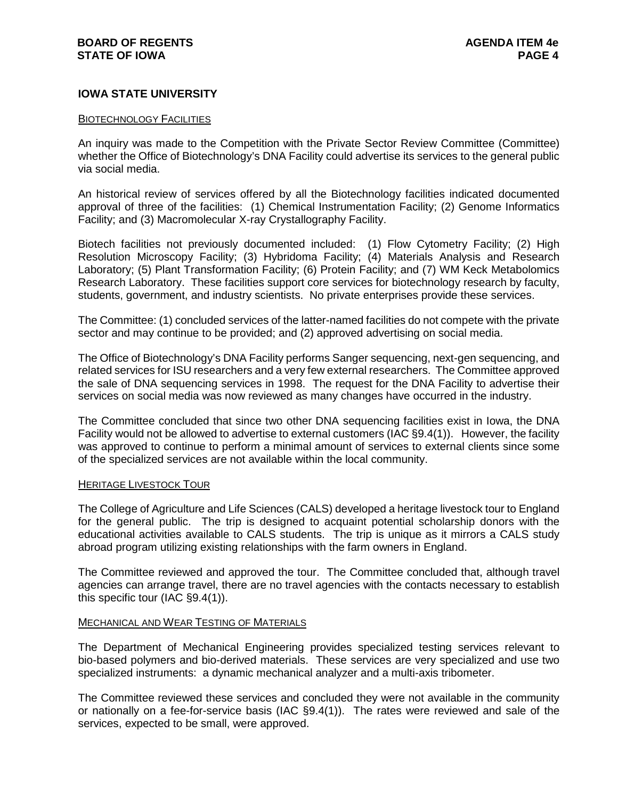# **IOWA STATE UNIVERSITY**

#### BIOTECHNOLOGY FACILITIES

An inquiry was made to the Competition with the Private Sector Review Committee (Committee) whether the Office of Biotechnology's DNA Facility could advertise its services to the general public via social media.

An historical review of services offered by all the Biotechnology facilities indicated documented approval of three of the facilities: (1) Chemical Instrumentation Facility; (2) Genome Informatics Facility; and (3) Macromolecular X-ray Crystallography Facility.

Biotech facilities not previously documented included: (1) Flow Cytometry Facility; (2) High Resolution Microscopy Facility; (3) Hybridoma Facility; (4) Materials Analysis and Research Laboratory; (5) Plant Transformation Facility; (6) Protein Facility; and (7) WM Keck Metabolomics Research Laboratory. These facilities support core services for biotechnology research by faculty, students, government, and industry scientists. No private enterprises provide these services.

The Committee: (1) concluded services of the latter-named facilities do not compete with the private sector and may continue to be provided; and (2) approved advertising on social media.

The Office of Biotechnology's DNA Facility performs Sanger sequencing, next-gen sequencing, and related services for ISU researchers and a very few external researchers. The Committee approved the sale of DNA sequencing services in 1998. The request for the DNA Facility to advertise their services on social media was now reviewed as many changes have occurred in the industry.

The Committee concluded that since two other DNA sequencing facilities exist in Iowa, the DNA Facility would not be allowed to advertise to external customers (IAC §9.4(1)). However, the facility was approved to continue to perform a minimal amount of services to external clients since some of the specialized services are not available within the local community.

### HERITAGE LIVESTOCK TOUR

The College of Agriculture and Life Sciences (CALS) developed a heritage livestock tour to England for the general public. The trip is designed to acquaint potential scholarship donors with the educational activities available to CALS students. The trip is unique as it mirrors a CALS study abroad program utilizing existing relationships with the farm owners in England.

The Committee reviewed and approved the tour. The Committee concluded that, although travel agencies can arrange travel, there are no travel agencies with the contacts necessary to establish this specific tour (IAC §9.4(1)).

# **MECHANICAL AND WEAR TESTING OF MATERIALS**

The Department of Mechanical Engineering provides specialized testing services relevant to bio-based polymers and bio-derived materials. These services are very specialized and use two specialized instruments: a dynamic mechanical analyzer and a multi-axis tribometer.

The Committee reviewed these services and concluded they were not available in the community or nationally on a fee-for-service basis (IAC §9.4(1)). The rates were reviewed and sale of the services, expected to be small, were approved.